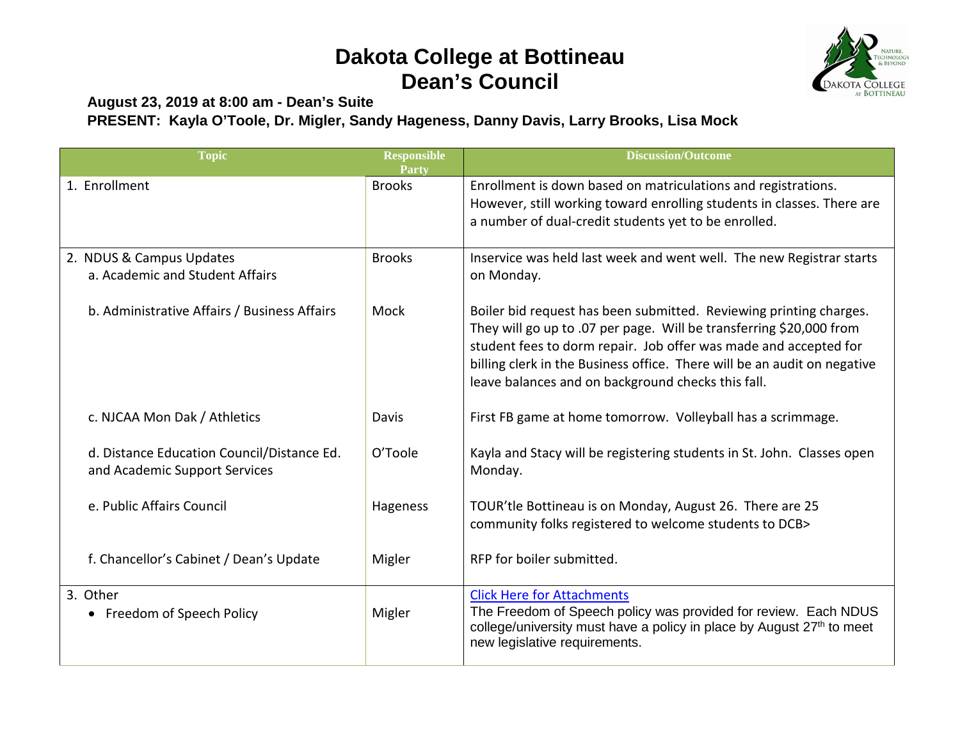## **Dakota College at Bottineau Dean's Council**



**August 23, 2019 at 8:00 am - Dean's Suite PRESENT: Kayla O'Toole, Dr. Migler, Sandy Hageness, Danny Davis, Larry Brooks, Lisa Mock**

| <b>Topic</b>                                                                | <b>Responsible</b><br><b>Party</b> | <b>Discussion/Outcome</b>                                                                                                                                                                                                                                                                                                                       |
|-----------------------------------------------------------------------------|------------------------------------|-------------------------------------------------------------------------------------------------------------------------------------------------------------------------------------------------------------------------------------------------------------------------------------------------------------------------------------------------|
| 1. Enrollment                                                               | <b>Brooks</b>                      | Enrollment is down based on matriculations and registrations.<br>However, still working toward enrolling students in classes. There are<br>a number of dual-credit students yet to be enrolled.                                                                                                                                                 |
| 2. NDUS & Campus Updates<br>a. Academic and Student Affairs                 | <b>Brooks</b>                      | Inservice was held last week and went well. The new Registrar starts<br>on Monday.                                                                                                                                                                                                                                                              |
| b. Administrative Affairs / Business Affairs                                | Mock                               | Boiler bid request has been submitted. Reviewing printing charges.<br>They will go up to .07 per page. Will be transferring \$20,000 from<br>student fees to dorm repair. Job offer was made and accepted for<br>billing clerk in the Business office. There will be an audit on negative<br>leave balances and on background checks this fall. |
| c. NJCAA Mon Dak / Athletics                                                | Davis                              | First FB game at home tomorrow. Volleyball has a scrimmage.                                                                                                                                                                                                                                                                                     |
| d. Distance Education Council/Distance Ed.<br>and Academic Support Services | O'Toole                            | Kayla and Stacy will be registering students in St. John. Classes open<br>Monday.                                                                                                                                                                                                                                                               |
| e. Public Affairs Council                                                   | Hageness                           | TOUR'tle Bottineau is on Monday, August 26. There are 25<br>community folks registered to welcome students to DCB>                                                                                                                                                                                                                              |
| f. Chancellor's Cabinet / Dean's Update                                     | Migler                             | RFP for boiler submitted.                                                                                                                                                                                                                                                                                                                       |
| 3. Other<br>• Freedom of Speech Policy                                      | Migler                             | <b>Click Here for Attachments</b><br>The Freedom of Speech policy was provided for review. Each NDUS<br>college/university must have a policy in place by August 27 <sup>th</sup> to meet<br>new legislative requirements.                                                                                                                      |